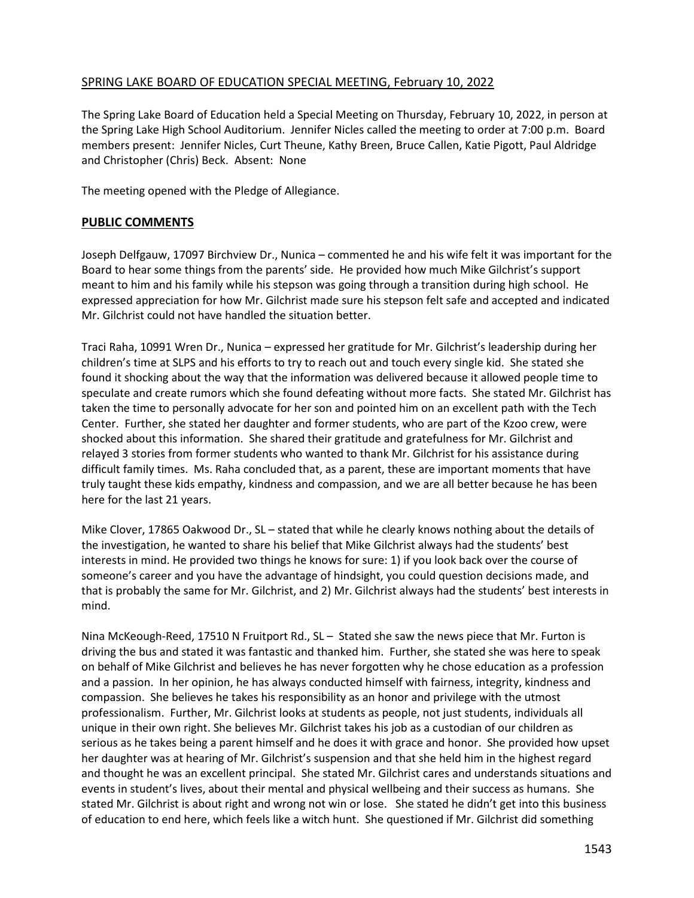### SPRING LAKE BOARD OF EDUCATION SPECIAL MEETING, February 10, 2022

The Spring Lake Board of Education held a Special Meeting on Thursday, February 10, 2022, in person at the Spring Lake High School Auditorium. Jennifer Nicles called the meeting to order at 7:00 p.m. Board members present: Jennifer Nicles, Curt Theune, Kathy Breen, Bruce Callen, Katie Pigott, Paul Aldridge and Christopher (Chris) Beck. Absent: None

The meeting opened with the Pledge of Allegiance.

### **PUBLIC COMMENTS**

Joseph Delfgauw, 17097 Birchview Dr., Nunica – commented he and his wife felt it was important for the Board to hear some things from the parents' side. He provided how much Mike Gilchrist's support meant to him and his family while his stepson was going through a transition during high school. He expressed appreciation for how Mr. Gilchrist made sure his stepson felt safe and accepted and indicated Mr. Gilchrist could not have handled the situation better.

Traci Raha, 10991 Wren Dr., Nunica – expressed her gratitude for Mr. Gilchrist's leadership during her children's time at SLPS and his efforts to try to reach out and touch every single kid. She stated she found it shocking about the way that the information was delivered because it allowed people time to speculate and create rumors which she found defeating without more facts. She stated Mr. Gilchrist has taken the time to personally advocate for her son and pointed him on an excellent path with the Tech Center. Further, she stated her daughter and former students, who are part of the Kzoo crew, were shocked about this information. She shared their gratitude and gratefulness for Mr. Gilchrist and relayed 3 stories from former students who wanted to thank Mr. Gilchrist for his assistance during difficult family times. Ms. Raha concluded that, as a parent, these are important moments that have truly taught these kids empathy, kindness and compassion, and we are all better because he has been here for the last 21 years.

Mike Clover, 17865 Oakwood Dr., SL – stated that while he clearly knows nothing about the details of the investigation, he wanted to share his belief that Mike Gilchrist always had the students' best interests in mind. He provided two things he knows for sure: 1) if you look back over the course of someone's career and you have the advantage of hindsight, you could question decisions made, and that is probably the same for Mr. Gilchrist, and 2) Mr. Gilchrist always had the students' best interests in mind.

Nina McKeough-Reed, 17510 N Fruitport Rd., SL – Stated she saw the news piece that Mr. Furton is driving the bus and stated it was fantastic and thanked him. Further, she stated she was here to speak on behalf of Mike Gilchrist and believes he has never forgotten why he chose education as a profession and a passion. In her opinion, he has always conducted himself with fairness, integrity, kindness and compassion. She believes he takes his responsibility as an honor and privilege with the utmost professionalism. Further, Mr. Gilchrist looks at students as people, not just students, individuals all unique in their own right. She believes Mr. Gilchrist takes his job as a custodian of our children as serious as he takes being a parent himself and he does it with grace and honor. She provided how upset her daughter was at hearing of Mr. Gilchrist's suspension and that she held him in the highest regard and thought he was an excellent principal. She stated Mr. Gilchrist cares and understands situations and events in student's lives, about their mental and physical wellbeing and their success as humans. She stated Mr. Gilchrist is about right and wrong not win or lose. She stated he didn't get into this business of education to end here, which feels like a witch hunt. She questioned if Mr. Gilchrist did something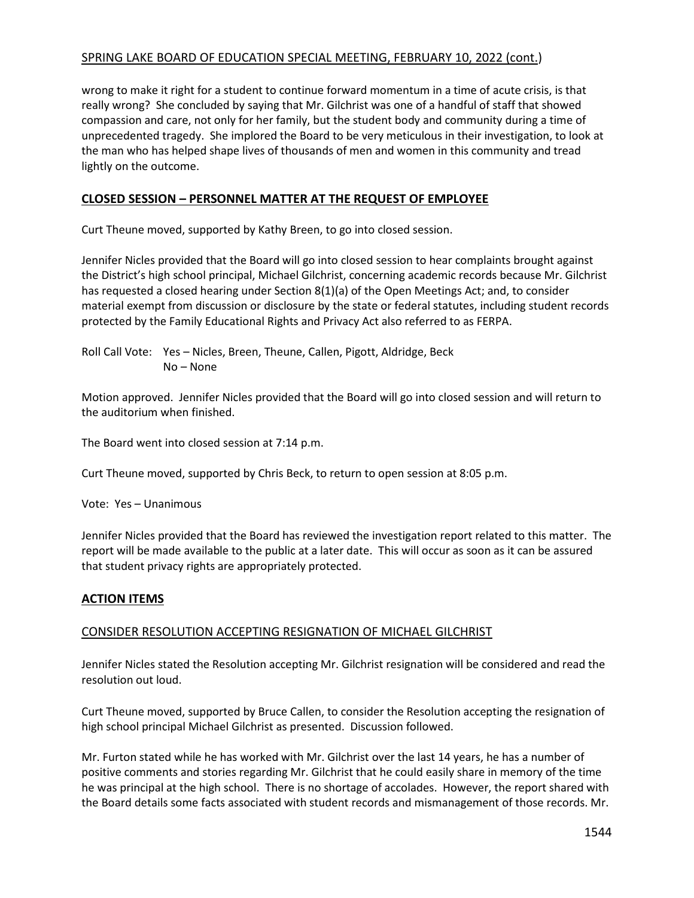wrong to make it right for a student to continue forward momentum in a time of acute crisis, is that really wrong? She concluded by saying that Mr. Gilchrist was one of a handful of staff that showed compassion and care, not only for her family, but the student body and community during a time of unprecedented tragedy. She implored the Board to be very meticulous in their investigation, to look at the man who has helped shape lives of thousands of men and women in this community and tread lightly on the outcome.

# **CLOSED SESSION – PERSONNEL MATTER AT THE REQUEST OF EMPLOYEE**

Curt Theune moved, supported by Kathy Breen, to go into closed session.

Jennifer Nicles provided that the Board will go into closed session to hear complaints brought against the District's high school principal, Michael Gilchrist, concerning academic records because Mr. Gilchrist has requested a closed hearing under Section 8(1)(a) of the Open Meetings Act; and, to consider material exempt from discussion or disclosure by the state or federal statutes, including student records protected by the Family Educational Rights and Privacy Act also referred to as FERPA.

Roll Call Vote: Yes – Nicles, Breen, Theune, Callen, Pigott, Aldridge, Beck No – None

Motion approved. Jennifer Nicles provided that the Board will go into closed session and will return to the auditorium when finished.

The Board went into closed session at 7:14 p.m.

Curt Theune moved, supported by Chris Beck, to return to open session at 8:05 p.m.

Vote: Yes – Unanimous

Jennifer Nicles provided that the Board has reviewed the investigation report related to this matter. The report will be made available to the public at a later date. This will occur as soon as it can be assured that student privacy rights are appropriately protected.

## **ACTION ITEMS**

## CONSIDER RESOLUTION ACCEPTING RESIGNATION OF MICHAEL GILCHRIST

Jennifer Nicles stated the Resolution accepting Mr. Gilchrist resignation will be considered and read the resolution out loud.

Curt Theune moved, supported by Bruce Callen, to consider the Resolution accepting the resignation of high school principal Michael Gilchrist as presented. Discussion followed.

Mr. Furton stated while he has worked with Mr. Gilchrist over the last 14 years, he has a number of positive comments and stories regarding Mr. Gilchrist that he could easily share in memory of the time he was principal at the high school. There is no shortage of accolades. However, the report shared with the Board details some facts associated with student records and mismanagement of those records. Mr.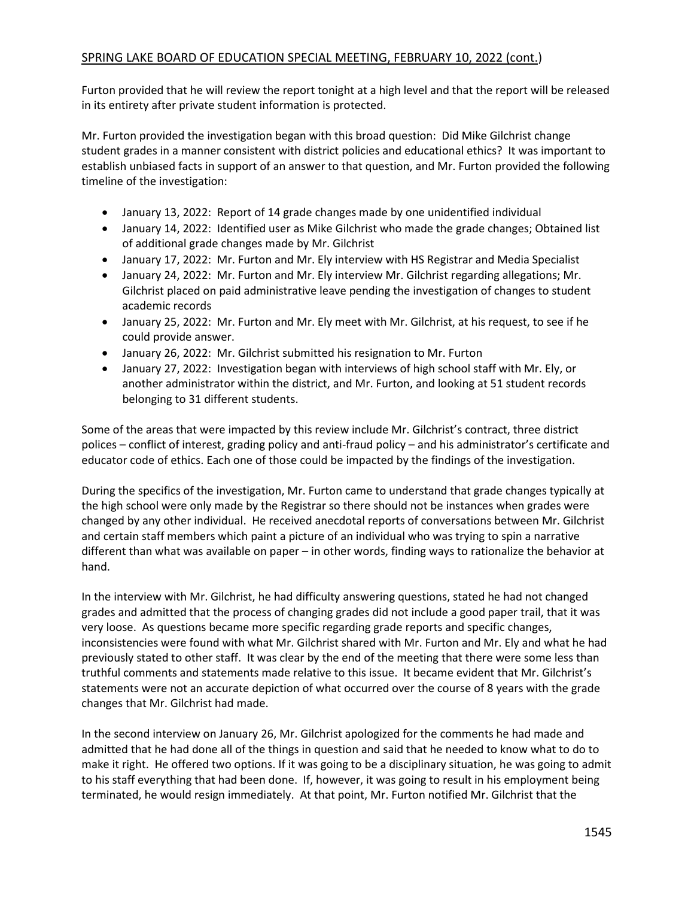Furton provided that he will review the report tonight at a high level and that the report will be released in its entirety after private student information is protected.

Mr. Furton provided the investigation began with this broad question: Did Mike Gilchrist change student grades in a manner consistent with district policies and educational ethics? It was important to establish unbiased facts in support of an answer to that question, and Mr. Furton provided the following timeline of the investigation:

- January 13, 2022: Report of 14 grade changes made by one unidentified individual
- January 14, 2022: Identified user as Mike Gilchrist who made the grade changes; Obtained list of additional grade changes made by Mr. Gilchrist
- January 17, 2022: Mr. Furton and Mr. Ely interview with HS Registrar and Media Specialist
- January 24, 2022: Mr. Furton and Mr. Ely interview Mr. Gilchrist regarding allegations; Mr. Gilchrist placed on paid administrative leave pending the investigation of changes to student academic records
- January 25, 2022: Mr. Furton and Mr. Ely meet with Mr. Gilchrist, at his request, to see if he could provide answer.
- January 26, 2022: Mr. Gilchrist submitted his resignation to Mr. Furton
- January 27, 2022: Investigation began with interviews of high school staff with Mr. Ely, or another administrator within the district, and Mr. Furton, and looking at 51 student records belonging to 31 different students.

Some of the areas that were impacted by this review include Mr. Gilchrist's contract, three district polices – conflict of interest, grading policy and anti-fraud policy – and his administrator's certificate and educator code of ethics. Each one of those could be impacted by the findings of the investigation.

During the specifics of the investigation, Mr. Furton came to understand that grade changes typically at the high school were only made by the Registrar so there should not be instances when grades were changed by any other individual. He received anecdotal reports of conversations between Mr. Gilchrist and certain staff members which paint a picture of an individual who was trying to spin a narrative different than what was available on paper – in other words, finding ways to rationalize the behavior at hand.

In the interview with Mr. Gilchrist, he had difficulty answering questions, stated he had not changed grades and admitted that the process of changing grades did not include a good paper trail, that it was very loose. As questions became more specific regarding grade reports and specific changes, inconsistencies were found with what Mr. Gilchrist shared with Mr. Furton and Mr. Ely and what he had previously stated to other staff. It was clear by the end of the meeting that there were some less than truthful comments and statements made relative to this issue. It became evident that Mr. Gilchrist's statements were not an accurate depiction of what occurred over the course of 8 years with the grade changes that Mr. Gilchrist had made.

In the second interview on January 26, Mr. Gilchrist apologized for the comments he had made and admitted that he had done all of the things in question and said that he needed to know what to do to make it right. He offered two options. If it was going to be a disciplinary situation, he was going to admit to his staff everything that had been done. If, however, it was going to result in his employment being terminated, he would resign immediately. At that point, Mr. Furton notified Mr. Gilchrist that the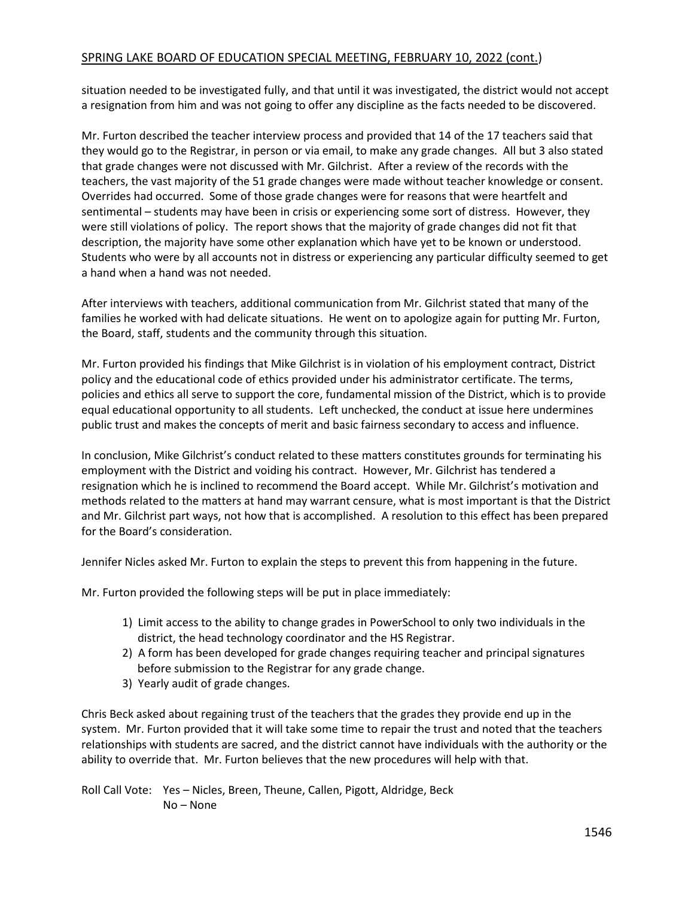situation needed to be investigated fully, and that until it was investigated, the district would not accept a resignation from him and was not going to offer any discipline as the facts needed to be discovered.

Mr. Furton described the teacher interview process and provided that 14 of the 17 teachers said that they would go to the Registrar, in person or via email, to make any grade changes. All but 3 also stated that grade changes were not discussed with Mr. Gilchrist. After a review of the records with the teachers, the vast majority of the 51 grade changes were made without teacher knowledge or consent. Overrides had occurred. Some of those grade changes were for reasons that were heartfelt and sentimental – students may have been in crisis or experiencing some sort of distress. However, they were still violations of policy. The report shows that the majority of grade changes did not fit that description, the majority have some other explanation which have yet to be known or understood. Students who were by all accounts not in distress or experiencing any particular difficulty seemed to get a hand when a hand was not needed.

After interviews with teachers, additional communication from Mr. Gilchrist stated that many of the families he worked with had delicate situations. He went on to apologize again for putting Mr. Furton, the Board, staff, students and the community through this situation.

Mr. Furton provided his findings that Mike Gilchrist is in violation of his employment contract, District policy and the educational code of ethics provided under his administrator certificate. The terms, policies and ethics all serve to support the core, fundamental mission of the District, which is to provide equal educational opportunity to all students. Left unchecked, the conduct at issue here undermines public trust and makes the concepts of merit and basic fairness secondary to access and influence.

In conclusion, Mike Gilchrist's conduct related to these matters constitutes grounds for terminating his employment with the District and voiding his contract. However, Mr. Gilchrist has tendered a resignation which he is inclined to recommend the Board accept. While Mr. Gilchrist's motivation and methods related to the matters at hand may warrant censure, what is most important is that the District and Mr. Gilchrist part ways, not how that is accomplished. A resolution to this effect has been prepared for the Board's consideration.

Jennifer Nicles asked Mr. Furton to explain the steps to prevent this from happening in the future.

Mr. Furton provided the following steps will be put in place immediately:

- 1) Limit access to the ability to change grades in PowerSchool to only two individuals in the district, the head technology coordinator and the HS Registrar.
- 2) A form has been developed for grade changes requiring teacher and principal signatures before submission to the Registrar for any grade change.
- 3) Yearly audit of grade changes.

Chris Beck asked about regaining trust of the teachers that the grades they provide end up in the system. Mr. Furton provided that it will take some time to repair the trust and noted that the teachers relationships with students are sacred, and the district cannot have individuals with the authority or the ability to override that. Mr. Furton believes that the new procedures will help with that.

Roll Call Vote: Yes – Nicles, Breen, Theune, Callen, Pigott, Aldridge, Beck No – None